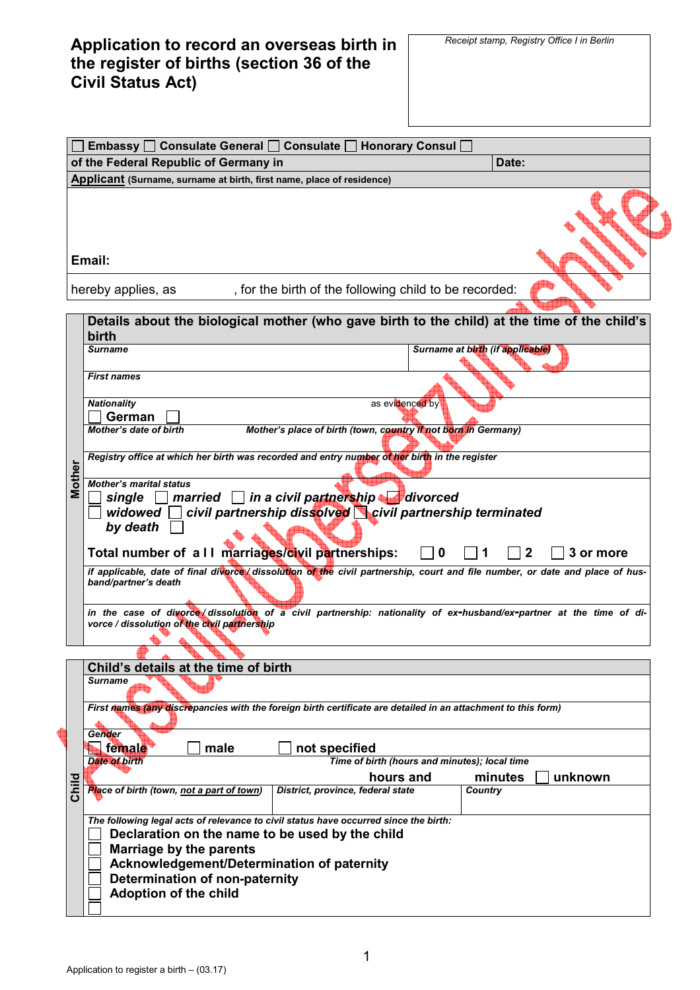**Application to record an overseas birth in the register of births (section 36 of the Civil Status Act)** 

|        | Embassy □ Consulate General □ Consulate □ Honorary Consul □                                                                                                                                                                                                                                                                 |  |  |  |  |  |  |
|--------|-----------------------------------------------------------------------------------------------------------------------------------------------------------------------------------------------------------------------------------------------------------------------------------------------------------------------------|--|--|--|--|--|--|
|        | of the Federal Republic of Germany in<br>Date:                                                                                                                                                                                                                                                                              |  |  |  |  |  |  |
|        | Applicant (Surname, surname at birth, first name, place of residence)                                                                                                                                                                                                                                                       |  |  |  |  |  |  |
|        | Email:                                                                                                                                                                                                                                                                                                                      |  |  |  |  |  |  |
|        | , for the birth of the following child to be recorded:<br>hereby applies, as                                                                                                                                                                                                                                                |  |  |  |  |  |  |
|        | Details about the biological mother (who gave birth to the child) at the time of the child's<br>birth                                                                                                                                                                                                                       |  |  |  |  |  |  |
|        | Surname at birth (if applicable)<br><b>Surname</b>                                                                                                                                                                                                                                                                          |  |  |  |  |  |  |
|        | <b>First names</b>                                                                                                                                                                                                                                                                                                          |  |  |  |  |  |  |
|        | <b>Nationality</b><br>as evidenced by<br><b>German</b>                                                                                                                                                                                                                                                                      |  |  |  |  |  |  |
|        | Mother's place of birth (town, country if not born in Germany)<br><b>Mother's date of birth</b>                                                                                                                                                                                                                             |  |  |  |  |  |  |
|        | Registry office at which her birth was recorded and entry number of her birth in the register                                                                                                                                                                                                                               |  |  |  |  |  |  |
| Mother | <b>Mother's marital status</b><br>married in a civil partnership divorced<br>single<br>civil partnership dissolved civil partnership terminated<br>widowed<br>by death<br>Total number of a II marriages/civil partnerships:<br>$\mathbf{2}$<br>3 or more<br>0                                                              |  |  |  |  |  |  |
|        | if applicable, date of final divorce / dissolution of the civil partnership, court and file number, or date and place of hus-<br>band/partner's death<br>in the case of divorce dissolution of a civil partnership: nationality of ex-husband/ex-partner at the time of di-<br>vorce / dissolution of the civil partnership |  |  |  |  |  |  |
|        |                                                                                                                                                                                                                                                                                                                             |  |  |  |  |  |  |
|        | Child's details at the time of birth                                                                                                                                                                                                                                                                                        |  |  |  |  |  |  |
|        | <b>Surname</b>                                                                                                                                                                                                                                                                                                              |  |  |  |  |  |  |
|        | First names (any discrepancies with the foreign birth certificate are detailed in an attachment to this form)                                                                                                                                                                                                               |  |  |  |  |  |  |
|        | Gender<br>female<br>not specified<br>male                                                                                                                                                                                                                                                                                   |  |  |  |  |  |  |
|        | Time of birth (hours and minutes); local time<br><b>Date of birth</b>                                                                                                                                                                                                                                                       |  |  |  |  |  |  |
| Child  | minutes<br>unknown<br>hours and<br>Place of birth (town, not a part of town)<br>District, province, federal state<br><b>Country</b>                                                                                                                                                                                         |  |  |  |  |  |  |
|        | The following legal acts of relevance to civil status have occurred since the birth:<br>Declaration on the name to be used by the child<br><b>Marriage by the parents</b><br>Acknowledgement/Determination of paternity<br>Determination of non-paternity<br><b>Adoption of the child</b>                                   |  |  |  |  |  |  |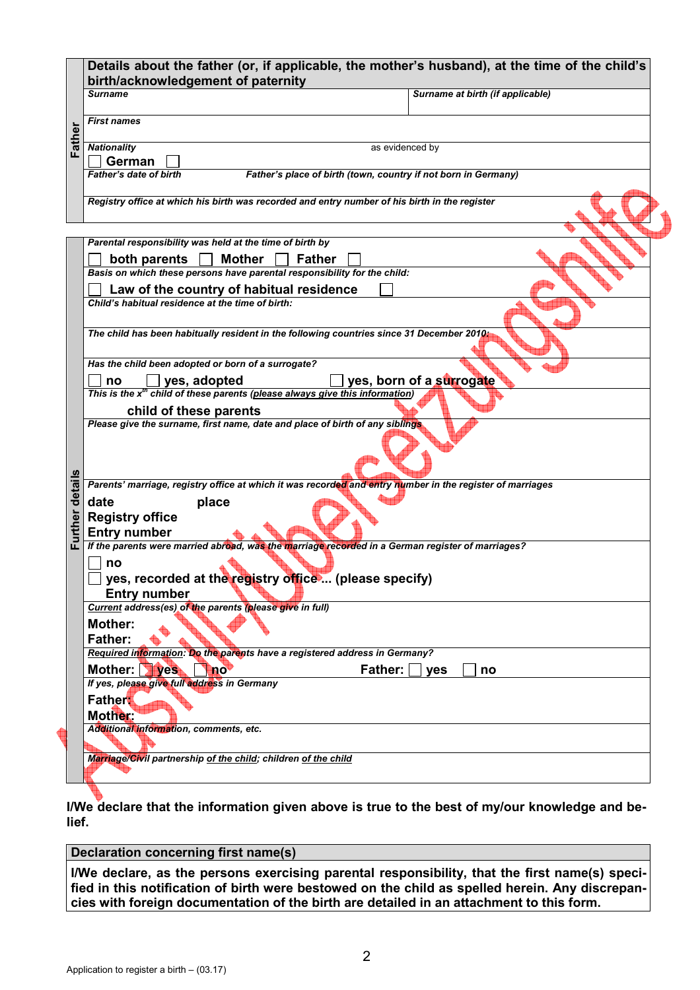| <b>First names</b><br>Father<br><b>Nationality</b><br>as evidenced by<br>German<br><b>Father's date of birth</b><br>Father's place of birth (town, country if not born in Germany)<br>Registry office at which his birth was recorded and entry number of his birth in the register<br>Parental responsibility was held at the time of birth by<br>both parents<br>Mother<br><b>Father</b><br>Basis on which these persons have parental responsibility for the child:<br>Law of the country of habitual residence<br>Child's habitual residence at the time of birth:<br>The child has been habitually resident in the following countries since 31 December 2010;<br>Has the child been adopted or born of a surrogate?<br>yes, born of a surrogate<br>yes, adopted<br>no<br>This is the $x^{th}$ child of these parents (please always give this information)<br>child of these parents<br>Please give the surname, first name, date and place of birth of any siblings<br>details<br>Parents' marriage, registry office at which it was recorded and entry number in the register of marriages<br>place<br>date<br>Further<br><b>Registry office</b><br><b>Entry number</b><br>If the parents were married abroad, was the marriage recorded in a German register of marriages?<br>no<br>□ yes, recorded at the registry office  (please specify)<br><b>Entry number</b><br>Current address(es) of the parents (please give in full)<br><b>Mother:</b><br><b>Father:</b><br>Required information: Do the parents have a registered address in Germany?<br>Mother: Ves<br>Father:<br>no<br>yes<br>no<br>If yes, please give full address in Germany<br><b>Father</b><br>Mother:<br>Additional information, comments, etc.<br>Marriage/Civil partnership of the child; children of the child<br>I/We declare that the information given above is true to the best of my/our knowledge and be-<br>lief.<br>Declaration concerning first name(s)<br>I/We declare, as the persons exercising parental responsibility, that the first name(s) speci-<br>fied in this notification of birth were bestowed on the child as spelled herein. Any discrepan-<br>cies with foreign documentation of the birth are detailed in an attachment to this form.<br>$\overline{2}$ | birth/acknowledgement of paternity<br>Surname at birth (if applicable)<br><b>Surname</b> |
|---------------------------------------------------------------------------------------------------------------------------------------------------------------------------------------------------------------------------------------------------------------------------------------------------------------------------------------------------------------------------------------------------------------------------------------------------------------------------------------------------------------------------------------------------------------------------------------------------------------------------------------------------------------------------------------------------------------------------------------------------------------------------------------------------------------------------------------------------------------------------------------------------------------------------------------------------------------------------------------------------------------------------------------------------------------------------------------------------------------------------------------------------------------------------------------------------------------------------------------------------------------------------------------------------------------------------------------------------------------------------------------------------------------------------------------------------------------------------------------------------------------------------------------------------------------------------------------------------------------------------------------------------------------------------------------------------------------------------------------------------------------------------------------------------------------------------------------------------------------------------------------------------------------------------------------------------------------------------------------------------------------------------------------------------------------------------------------------------------------------------------------------------------------------------------------------------------------------------------------------------------------------|------------------------------------------------------------------------------------------|
|                                                                                                                                                                                                                                                                                                                                                                                                                                                                                                                                                                                                                                                                                                                                                                                                                                                                                                                                                                                                                                                                                                                                                                                                                                                                                                                                                                                                                                                                                                                                                                                                                                                                                                                                                                                                                                                                                                                                                                                                                                                                                                                                                                                                                                                                     |                                                                                          |
|                                                                                                                                                                                                                                                                                                                                                                                                                                                                                                                                                                                                                                                                                                                                                                                                                                                                                                                                                                                                                                                                                                                                                                                                                                                                                                                                                                                                                                                                                                                                                                                                                                                                                                                                                                                                                                                                                                                                                                                                                                                                                                                                                                                                                                                                     |                                                                                          |
|                                                                                                                                                                                                                                                                                                                                                                                                                                                                                                                                                                                                                                                                                                                                                                                                                                                                                                                                                                                                                                                                                                                                                                                                                                                                                                                                                                                                                                                                                                                                                                                                                                                                                                                                                                                                                                                                                                                                                                                                                                                                                                                                                                                                                                                                     |                                                                                          |
|                                                                                                                                                                                                                                                                                                                                                                                                                                                                                                                                                                                                                                                                                                                                                                                                                                                                                                                                                                                                                                                                                                                                                                                                                                                                                                                                                                                                                                                                                                                                                                                                                                                                                                                                                                                                                                                                                                                                                                                                                                                                                                                                                                                                                                                                     |                                                                                          |
|                                                                                                                                                                                                                                                                                                                                                                                                                                                                                                                                                                                                                                                                                                                                                                                                                                                                                                                                                                                                                                                                                                                                                                                                                                                                                                                                                                                                                                                                                                                                                                                                                                                                                                                                                                                                                                                                                                                                                                                                                                                                                                                                                                                                                                                                     |                                                                                          |
|                                                                                                                                                                                                                                                                                                                                                                                                                                                                                                                                                                                                                                                                                                                                                                                                                                                                                                                                                                                                                                                                                                                                                                                                                                                                                                                                                                                                                                                                                                                                                                                                                                                                                                                                                                                                                                                                                                                                                                                                                                                                                                                                                                                                                                                                     |                                                                                          |
|                                                                                                                                                                                                                                                                                                                                                                                                                                                                                                                                                                                                                                                                                                                                                                                                                                                                                                                                                                                                                                                                                                                                                                                                                                                                                                                                                                                                                                                                                                                                                                                                                                                                                                                                                                                                                                                                                                                                                                                                                                                                                                                                                                                                                                                                     |                                                                                          |
|                                                                                                                                                                                                                                                                                                                                                                                                                                                                                                                                                                                                                                                                                                                                                                                                                                                                                                                                                                                                                                                                                                                                                                                                                                                                                                                                                                                                                                                                                                                                                                                                                                                                                                                                                                                                                                                                                                                                                                                                                                                                                                                                                                                                                                                                     |                                                                                          |
|                                                                                                                                                                                                                                                                                                                                                                                                                                                                                                                                                                                                                                                                                                                                                                                                                                                                                                                                                                                                                                                                                                                                                                                                                                                                                                                                                                                                                                                                                                                                                                                                                                                                                                                                                                                                                                                                                                                                                                                                                                                                                                                                                                                                                                                                     |                                                                                          |
|                                                                                                                                                                                                                                                                                                                                                                                                                                                                                                                                                                                                                                                                                                                                                                                                                                                                                                                                                                                                                                                                                                                                                                                                                                                                                                                                                                                                                                                                                                                                                                                                                                                                                                                                                                                                                                                                                                                                                                                                                                                                                                                                                                                                                                                                     |                                                                                          |
|                                                                                                                                                                                                                                                                                                                                                                                                                                                                                                                                                                                                                                                                                                                                                                                                                                                                                                                                                                                                                                                                                                                                                                                                                                                                                                                                                                                                                                                                                                                                                                                                                                                                                                                                                                                                                                                                                                                                                                                                                                                                                                                                                                                                                                                                     |                                                                                          |
|                                                                                                                                                                                                                                                                                                                                                                                                                                                                                                                                                                                                                                                                                                                                                                                                                                                                                                                                                                                                                                                                                                                                                                                                                                                                                                                                                                                                                                                                                                                                                                                                                                                                                                                                                                                                                                                                                                                                                                                                                                                                                                                                                                                                                                                                     |                                                                                          |
|                                                                                                                                                                                                                                                                                                                                                                                                                                                                                                                                                                                                                                                                                                                                                                                                                                                                                                                                                                                                                                                                                                                                                                                                                                                                                                                                                                                                                                                                                                                                                                                                                                                                                                                                                                                                                                                                                                                                                                                                                                                                                                                                                                                                                                                                     |                                                                                          |
|                                                                                                                                                                                                                                                                                                                                                                                                                                                                                                                                                                                                                                                                                                                                                                                                                                                                                                                                                                                                                                                                                                                                                                                                                                                                                                                                                                                                                                                                                                                                                                                                                                                                                                                                                                                                                                                                                                                                                                                                                                                                                                                                                                                                                                                                     |                                                                                          |
|                                                                                                                                                                                                                                                                                                                                                                                                                                                                                                                                                                                                                                                                                                                                                                                                                                                                                                                                                                                                                                                                                                                                                                                                                                                                                                                                                                                                                                                                                                                                                                                                                                                                                                                                                                                                                                                                                                                                                                                                                                                                                                                                                                                                                                                                     |                                                                                          |
|                                                                                                                                                                                                                                                                                                                                                                                                                                                                                                                                                                                                                                                                                                                                                                                                                                                                                                                                                                                                                                                                                                                                                                                                                                                                                                                                                                                                                                                                                                                                                                                                                                                                                                                                                                                                                                                                                                                                                                                                                                                                                                                                                                                                                                                                     |                                                                                          |
|                                                                                                                                                                                                                                                                                                                                                                                                                                                                                                                                                                                                                                                                                                                                                                                                                                                                                                                                                                                                                                                                                                                                                                                                                                                                                                                                                                                                                                                                                                                                                                                                                                                                                                                                                                                                                                                                                                                                                                                                                                                                                                                                                                                                                                                                     |                                                                                          |
|                                                                                                                                                                                                                                                                                                                                                                                                                                                                                                                                                                                                                                                                                                                                                                                                                                                                                                                                                                                                                                                                                                                                                                                                                                                                                                                                                                                                                                                                                                                                                                                                                                                                                                                                                                                                                                                                                                                                                                                                                                                                                                                                                                                                                                                                     |                                                                                          |
|                                                                                                                                                                                                                                                                                                                                                                                                                                                                                                                                                                                                                                                                                                                                                                                                                                                                                                                                                                                                                                                                                                                                                                                                                                                                                                                                                                                                                                                                                                                                                                                                                                                                                                                                                                                                                                                                                                                                                                                                                                                                                                                                                                                                                                                                     |                                                                                          |
|                                                                                                                                                                                                                                                                                                                                                                                                                                                                                                                                                                                                                                                                                                                                                                                                                                                                                                                                                                                                                                                                                                                                                                                                                                                                                                                                                                                                                                                                                                                                                                                                                                                                                                                                                                                                                                                                                                                                                                                                                                                                                                                                                                                                                                                                     |                                                                                          |
|                                                                                                                                                                                                                                                                                                                                                                                                                                                                                                                                                                                                                                                                                                                                                                                                                                                                                                                                                                                                                                                                                                                                                                                                                                                                                                                                                                                                                                                                                                                                                                                                                                                                                                                                                                                                                                                                                                                                                                                                                                                                                                                                                                                                                                                                     |                                                                                          |
|                                                                                                                                                                                                                                                                                                                                                                                                                                                                                                                                                                                                                                                                                                                                                                                                                                                                                                                                                                                                                                                                                                                                                                                                                                                                                                                                                                                                                                                                                                                                                                                                                                                                                                                                                                                                                                                                                                                                                                                                                                                                                                                                                                                                                                                                     |                                                                                          |
|                                                                                                                                                                                                                                                                                                                                                                                                                                                                                                                                                                                                                                                                                                                                                                                                                                                                                                                                                                                                                                                                                                                                                                                                                                                                                                                                                                                                                                                                                                                                                                                                                                                                                                                                                                                                                                                                                                                                                                                                                                                                                                                                                                                                                                                                     |                                                                                          |
|                                                                                                                                                                                                                                                                                                                                                                                                                                                                                                                                                                                                                                                                                                                                                                                                                                                                                                                                                                                                                                                                                                                                                                                                                                                                                                                                                                                                                                                                                                                                                                                                                                                                                                                                                                                                                                                                                                                                                                                                                                                                                                                                                                                                                                                                     |                                                                                          |
|                                                                                                                                                                                                                                                                                                                                                                                                                                                                                                                                                                                                                                                                                                                                                                                                                                                                                                                                                                                                                                                                                                                                                                                                                                                                                                                                                                                                                                                                                                                                                                                                                                                                                                                                                                                                                                                                                                                                                                                                                                                                                                                                                                                                                                                                     |                                                                                          |
|                                                                                                                                                                                                                                                                                                                                                                                                                                                                                                                                                                                                                                                                                                                                                                                                                                                                                                                                                                                                                                                                                                                                                                                                                                                                                                                                                                                                                                                                                                                                                                                                                                                                                                                                                                                                                                                                                                                                                                                                                                                                                                                                                                                                                                                                     |                                                                                          |
|                                                                                                                                                                                                                                                                                                                                                                                                                                                                                                                                                                                                                                                                                                                                                                                                                                                                                                                                                                                                                                                                                                                                                                                                                                                                                                                                                                                                                                                                                                                                                                                                                                                                                                                                                                                                                                                                                                                                                                                                                                                                                                                                                                                                                                                                     |                                                                                          |
|                                                                                                                                                                                                                                                                                                                                                                                                                                                                                                                                                                                                                                                                                                                                                                                                                                                                                                                                                                                                                                                                                                                                                                                                                                                                                                                                                                                                                                                                                                                                                                                                                                                                                                                                                                                                                                                                                                                                                                                                                                                                                                                                                                                                                                                                     |                                                                                          |
|                                                                                                                                                                                                                                                                                                                                                                                                                                                                                                                                                                                                                                                                                                                                                                                                                                                                                                                                                                                                                                                                                                                                                                                                                                                                                                                                                                                                                                                                                                                                                                                                                                                                                                                                                                                                                                                                                                                                                                                                                                                                                                                                                                                                                                                                     |                                                                                          |
|                                                                                                                                                                                                                                                                                                                                                                                                                                                                                                                                                                                                                                                                                                                                                                                                                                                                                                                                                                                                                                                                                                                                                                                                                                                                                                                                                                                                                                                                                                                                                                                                                                                                                                                                                                                                                                                                                                                                                                                                                                                                                                                                                                                                                                                                     |                                                                                          |
|                                                                                                                                                                                                                                                                                                                                                                                                                                                                                                                                                                                                                                                                                                                                                                                                                                                                                                                                                                                                                                                                                                                                                                                                                                                                                                                                                                                                                                                                                                                                                                                                                                                                                                                                                                                                                                                                                                                                                                                                                                                                                                                                                                                                                                                                     |                                                                                          |
|                                                                                                                                                                                                                                                                                                                                                                                                                                                                                                                                                                                                                                                                                                                                                                                                                                                                                                                                                                                                                                                                                                                                                                                                                                                                                                                                                                                                                                                                                                                                                                                                                                                                                                                                                                                                                                                                                                                                                                                                                                                                                                                                                                                                                                                                     |                                                                                          |
|                                                                                                                                                                                                                                                                                                                                                                                                                                                                                                                                                                                                                                                                                                                                                                                                                                                                                                                                                                                                                                                                                                                                                                                                                                                                                                                                                                                                                                                                                                                                                                                                                                                                                                                                                                                                                                                                                                                                                                                                                                                                                                                                                                                                                                                                     |                                                                                          |
|                                                                                                                                                                                                                                                                                                                                                                                                                                                                                                                                                                                                                                                                                                                                                                                                                                                                                                                                                                                                                                                                                                                                                                                                                                                                                                                                                                                                                                                                                                                                                                                                                                                                                                                                                                                                                                                                                                                                                                                                                                                                                                                                                                                                                                                                     |                                                                                          |
|                                                                                                                                                                                                                                                                                                                                                                                                                                                                                                                                                                                                                                                                                                                                                                                                                                                                                                                                                                                                                                                                                                                                                                                                                                                                                                                                                                                                                                                                                                                                                                                                                                                                                                                                                                                                                                                                                                                                                                                                                                                                                                                                                                                                                                                                     |                                                                                          |
|                                                                                                                                                                                                                                                                                                                                                                                                                                                                                                                                                                                                                                                                                                                                                                                                                                                                                                                                                                                                                                                                                                                                                                                                                                                                                                                                                                                                                                                                                                                                                                                                                                                                                                                                                                                                                                                                                                                                                                                                                                                                                                                                                                                                                                                                     |                                                                                          |
|                                                                                                                                                                                                                                                                                                                                                                                                                                                                                                                                                                                                                                                                                                                                                                                                                                                                                                                                                                                                                                                                                                                                                                                                                                                                                                                                                                                                                                                                                                                                                                                                                                                                                                                                                                                                                                                                                                                                                                                                                                                                                                                                                                                                                                                                     |                                                                                          |
|                                                                                                                                                                                                                                                                                                                                                                                                                                                                                                                                                                                                                                                                                                                                                                                                                                                                                                                                                                                                                                                                                                                                                                                                                                                                                                                                                                                                                                                                                                                                                                                                                                                                                                                                                                                                                                                                                                                                                                                                                                                                                                                                                                                                                                                                     |                                                                                          |
|                                                                                                                                                                                                                                                                                                                                                                                                                                                                                                                                                                                                                                                                                                                                                                                                                                                                                                                                                                                                                                                                                                                                                                                                                                                                                                                                                                                                                                                                                                                                                                                                                                                                                                                                                                                                                                                                                                                                                                                                                                                                                                                                                                                                                                                                     |                                                                                          |
|                                                                                                                                                                                                                                                                                                                                                                                                                                                                                                                                                                                                                                                                                                                                                                                                                                                                                                                                                                                                                                                                                                                                                                                                                                                                                                                                                                                                                                                                                                                                                                                                                                                                                                                                                                                                                                                                                                                                                                                                                                                                                                                                                                                                                                                                     |                                                                                          |
|                                                                                                                                                                                                                                                                                                                                                                                                                                                                                                                                                                                                                                                                                                                                                                                                                                                                                                                                                                                                                                                                                                                                                                                                                                                                                                                                                                                                                                                                                                                                                                                                                                                                                                                                                                                                                                                                                                                                                                                                                                                                                                                                                                                                                                                                     |                                                                                          |
|                                                                                                                                                                                                                                                                                                                                                                                                                                                                                                                                                                                                                                                                                                                                                                                                                                                                                                                                                                                                                                                                                                                                                                                                                                                                                                                                                                                                                                                                                                                                                                                                                                                                                                                                                                                                                                                                                                                                                                                                                                                                                                                                                                                                                                                                     |                                                                                          |
|                                                                                                                                                                                                                                                                                                                                                                                                                                                                                                                                                                                                                                                                                                                                                                                                                                                                                                                                                                                                                                                                                                                                                                                                                                                                                                                                                                                                                                                                                                                                                                                                                                                                                                                                                                                                                                                                                                                                                                                                                                                                                                                                                                                                                                                                     |                                                                                          |
|                                                                                                                                                                                                                                                                                                                                                                                                                                                                                                                                                                                                                                                                                                                                                                                                                                                                                                                                                                                                                                                                                                                                                                                                                                                                                                                                                                                                                                                                                                                                                                                                                                                                                                                                                                                                                                                                                                                                                                                                                                                                                                                                                                                                                                                                     |                                                                                          |
|                                                                                                                                                                                                                                                                                                                                                                                                                                                                                                                                                                                                                                                                                                                                                                                                                                                                                                                                                                                                                                                                                                                                                                                                                                                                                                                                                                                                                                                                                                                                                                                                                                                                                                                                                                                                                                                                                                                                                                                                                                                                                                                                                                                                                                                                     |                                                                                          |
|                                                                                                                                                                                                                                                                                                                                                                                                                                                                                                                                                                                                                                                                                                                                                                                                                                                                                                                                                                                                                                                                                                                                                                                                                                                                                                                                                                                                                                                                                                                                                                                                                                                                                                                                                                                                                                                                                                                                                                                                                                                                                                                                                                                                                                                                     |                                                                                          |
|                                                                                                                                                                                                                                                                                                                                                                                                                                                                                                                                                                                                                                                                                                                                                                                                                                                                                                                                                                                                                                                                                                                                                                                                                                                                                                                                                                                                                                                                                                                                                                                                                                                                                                                                                                                                                                                                                                                                                                                                                                                                                                                                                                                                                                                                     | Application to register a birth $-$ (03.17)                                              |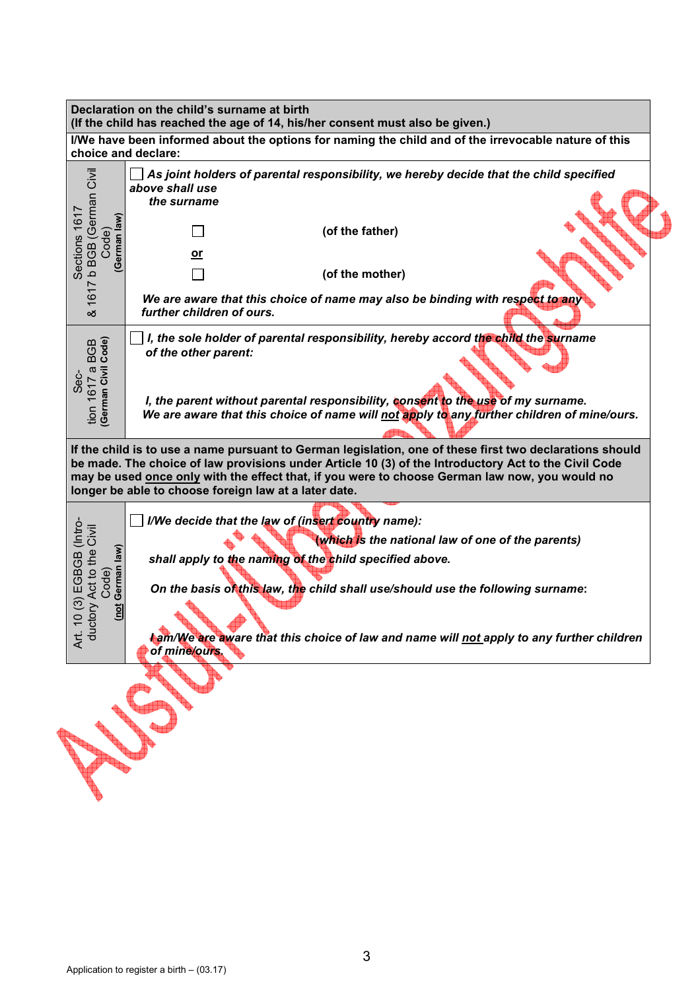|                                                                                                                                                                                                                                                                                                                                                                                    | Declaration on the child's surname at birth<br>(If the child has reached the age of 14, his/her consent must also be given.)                                                                                                                                                                                                                                               |  |  |  |  |  |
|------------------------------------------------------------------------------------------------------------------------------------------------------------------------------------------------------------------------------------------------------------------------------------------------------------------------------------------------------------------------------------|----------------------------------------------------------------------------------------------------------------------------------------------------------------------------------------------------------------------------------------------------------------------------------------------------------------------------------------------------------------------------|--|--|--|--|--|
| choice and declare:                                                                                                                                                                                                                                                                                                                                                                | I/We have been informed about the options for naming the child and of the irrevocable nature of this                                                                                                                                                                                                                                                                       |  |  |  |  |  |
| 1617 b BGB (German Civil<br>Sections 1617<br>(wel<br>Code)<br>German<br>త                                                                                                                                                                                                                                                                                                          | As joint holders of parental responsibility, we hereby decide that the child specified<br>above shall use<br>the surname<br>(of the father)<br>or<br>(of the mother)<br>We are aware that this choice of name may also be binding with respect to any<br>further children of ours.                                                                                         |  |  |  |  |  |
| German Civil Code)<br>tion 1617 a BGB<br>Sec-                                                                                                                                                                                                                                                                                                                                      | I, the sole holder of parental responsibility, hereby accord the child the surname<br>of the other parent:<br>I, the parent without parental responsibility, consent to the use of my surname.<br>We are aware that this choice of name will not apply to any further children of mine/ours.                                                                               |  |  |  |  |  |
| If the child is to use a name pursuant to German legislation, one of these first two declarations should<br>be made. The choice of law provisions under Article 10 (3) of the Introductory Act to the Civil Code<br>may be used <b>once only</b> with the effect that, if you were to choose German law now, you would no<br>longer be able to choose foreign law at a later date. |                                                                                                                                                                                                                                                                                                                                                                            |  |  |  |  |  |
| (Intro-<br>Act to the Civil<br>Code)<br>German law)<br>EGBGB<br>ල<br>ctory<br>ğ<br>$\circ$<br>Art.<br>duc                                                                                                                                                                                                                                                                          | I/We decide that the law of (insert country name):<br>(which is the national law of one of the parents)<br>shall apply to the naming of the child specified above.<br>On the basis of this law, the child shall use/should use the following surname:<br><b>l</b> am/We are aware that this choice of law and name will not apply to any further children<br>of mine/ours. |  |  |  |  |  |
|                                                                                                                                                                                                                                                                                                                                                                                    |                                                                                                                                                                                                                                                                                                                                                                            |  |  |  |  |  |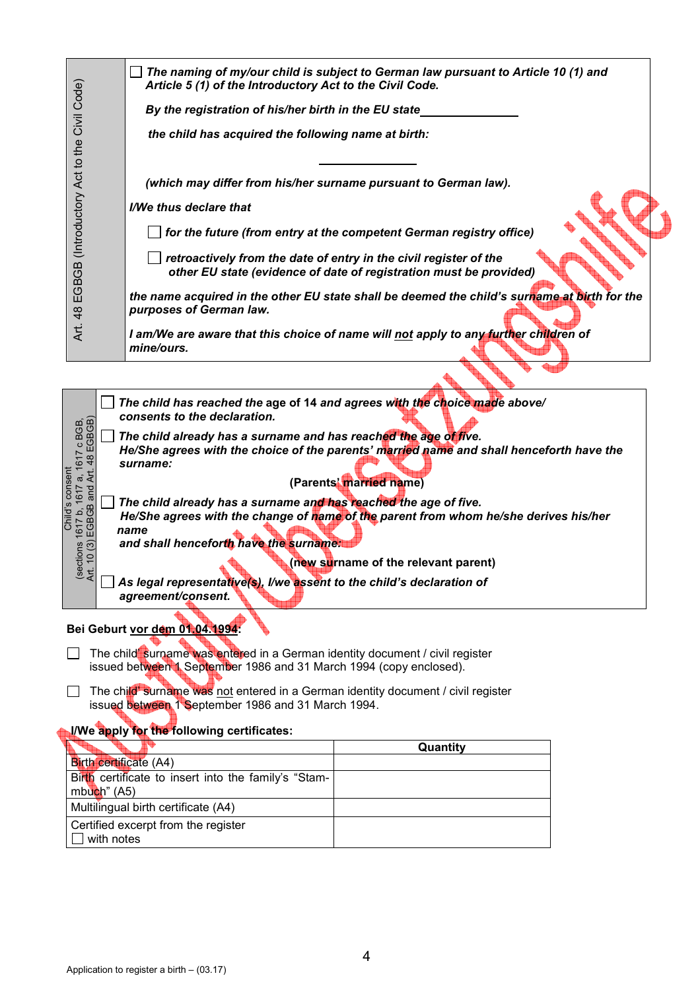|                                                      | Article 5 (1) of the Introductory Act to the Civil Code.                                                                                           | The naming of my/our child is subject to German law pursuant to Article 10 (1) and                                                      |  |  |  |  |  |  |
|------------------------------------------------------|----------------------------------------------------------------------------------------------------------------------------------------------------|-----------------------------------------------------------------------------------------------------------------------------------------|--|--|--|--|--|--|
|                                                      | By the registration of his/her birth in the EU state_                                                                                              |                                                                                                                                         |  |  |  |  |  |  |
|                                                      | the child has acquired the following name at birth:                                                                                                |                                                                                                                                         |  |  |  |  |  |  |
|                                                      |                                                                                                                                                    |                                                                                                                                         |  |  |  |  |  |  |
|                                                      | (which may differ from his/her surname pursuant to German law).                                                                                    |                                                                                                                                         |  |  |  |  |  |  |
|                                                      | I/We thus declare that                                                                                                                             |                                                                                                                                         |  |  |  |  |  |  |
|                                                      |                                                                                                                                                    | for the future (from entry at the competent German registry office)                                                                     |  |  |  |  |  |  |
| EGBGB (Introductory Act to the Civil Code)           |                                                                                                                                                    | retroactively from the date of entry in the civil register of the<br>other EU state (evidence of date of registration must be provided) |  |  |  |  |  |  |
| 48                                                   | purposes of German law.                                                                                                                            | the name acquired in the other EU state shall be deemed the child's surname at birth for the                                            |  |  |  |  |  |  |
| Art.                                                 | I am/We are aware that this choice of name will not apply to any further children of<br>mine/ours.                                                 |                                                                                                                                         |  |  |  |  |  |  |
|                                                      |                                                                                                                                                    |                                                                                                                                         |  |  |  |  |  |  |
|                                                      |                                                                                                                                                    | The child has reached the age of 14 and agrees with the choice made above/                                                              |  |  |  |  |  |  |
|                                                      | consents to the declaration.<br>The child already has a surname and has reached the age of five.                                                   |                                                                                                                                         |  |  |  |  |  |  |
| 1617 c BGB,<br>. 48 EGBGB)                           |                                                                                                                                                    | He/She agrees with the choice of the parents' married name and shall henceforth have the                                                |  |  |  |  |  |  |
| ξt                                                   | surname:                                                                                                                                           | (Parents' married name)                                                                                                                 |  |  |  |  |  |  |
| EGBGB and<br><u>ය</u>                                | The child already has a surname and has reached the age of five.                                                                                   |                                                                                                                                         |  |  |  |  |  |  |
| 1617 b                                               | name                                                                                                                                               | He/She agrees with the change of name of the parent from whom he/she derives his/her                                                    |  |  |  |  |  |  |
| ල                                                    | and shall henceforth have the surname:                                                                                                             |                                                                                                                                         |  |  |  |  |  |  |
| (sections<br>부                                       |                                                                                                                                                    | (new surname of the relevant parent)                                                                                                    |  |  |  |  |  |  |
|                                                      | As legal representative(s), I/we assent to the child's declaration of<br>agreement/consent.                                                        |                                                                                                                                         |  |  |  |  |  |  |
|                                                      |                                                                                                                                                    |                                                                                                                                         |  |  |  |  |  |  |
|                                                      | Bei Geburt vor dem 01.04.1994:                                                                                                                     |                                                                                                                                         |  |  |  |  |  |  |
|                                                      | The child surname was entered in a German identity document / civil register<br>issued between 1 September 1986 and 31 March 1994 (copy enclosed). |                                                                                                                                         |  |  |  |  |  |  |
|                                                      | The child' surname was not entered in a German identity document / civil register                                                                  |                                                                                                                                         |  |  |  |  |  |  |
|                                                      | issued between 1 September 1986 and 31 March 1994.                                                                                                 |                                                                                                                                         |  |  |  |  |  |  |
|                                                      | I/We apply for the following certificates:                                                                                                         |                                                                                                                                         |  |  |  |  |  |  |
| Quantity<br><b>Birth certificate (A4)</b>            |                                                                                                                                                    |                                                                                                                                         |  |  |  |  |  |  |
| Birth certificate to insert into the family's "Stam- |                                                                                                                                                    |                                                                                                                                         |  |  |  |  |  |  |
| mbuch" (A5)<br>Multilingual birth certificate (A4)   |                                                                                                                                                    |                                                                                                                                         |  |  |  |  |  |  |
|                                                      | Certified excerpt from the register                                                                                                                |                                                                                                                                         |  |  |  |  |  |  |
| with notes                                           |                                                                                                                                                    |                                                                                                                                         |  |  |  |  |  |  |
|                                                      |                                                                                                                                                    |                                                                                                                                         |  |  |  |  |  |  |
|                                                      |                                                                                                                                                    |                                                                                                                                         |  |  |  |  |  |  |
|                                                      |                                                                                                                                                    |                                                                                                                                         |  |  |  |  |  |  |
|                                                      |                                                                                                                                                    |                                                                                                                                         |  |  |  |  |  |  |
|                                                      |                                                                                                                                                    | 4                                                                                                                                       |  |  |  |  |  |  |
|                                                      | Application to register a birth $-$ (03.17)                                                                                                        |                                                                                                                                         |  |  |  |  |  |  |

- □ The child' surname was entered in a German identity document / civil register issued between 1 September 1986 and 31 March 1994 (copy enclosed).
- □ The child' surname was not entered in a German identity document / civil register issued between 1 September 1986 and 31 March 1994.

## **I/We apply for the following certificates:**

|                                                                        | Quantity |
|------------------------------------------------------------------------|----------|
| <b>Birth certificate (A4)</b>                                          |          |
| Birth certificate to insert into the family's "Stam-<br>$mbuch$ " (A5) |          |
| Multilingual birth certificate (A4)                                    |          |
| Certified excerpt from the register<br>with notes                      |          |